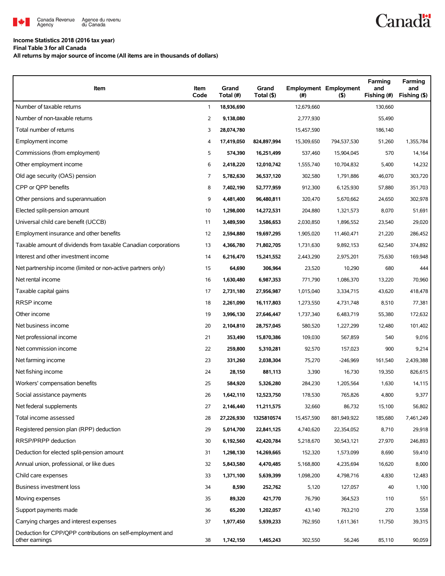

## **Income Statistics 2018 (2016 tax year)**

**Final Table 3 for all Canada**

**All returns by major source of income (All items are in thousands of dollars)**

| Item                                                                         | Item<br>Code | Grand<br>Total (#) | Grand<br>Total (\$) | (#)        | <b>Employment Employment</b><br>(5) | Farming<br>and<br>Fishing (#) | Farming<br>and<br>Fishing (\$) |
|------------------------------------------------------------------------------|--------------|--------------------|---------------------|------------|-------------------------------------|-------------------------------|--------------------------------|
| Number of taxable returns                                                    | $\mathbf{1}$ | 18,936,690         |                     | 12,679,660 |                                     | 130,660                       |                                |
| Number of non-taxable returns                                                | 2            | 9,138,080          |                     | 2,777,930  |                                     | 55,490                        |                                |
| Total number of returns                                                      | 3            | 28,074,780         |                     | 15,457,590 |                                     | 186,140                       |                                |
| Employment income                                                            | 4            | 17,419,050         | 824,897,994         | 15,309,650 | 794,537,530                         | 51,260                        | 1,355,784                      |
| Commissions (from employment)                                                | 5            | 574,390            | 16,251,499          | 537,460    | 15,904,045                          | 570                           | 14,164                         |
| Other employment income                                                      | 6            | 2,418,220          | 12,010,742          | 1,555,740  | 10,704,832                          | 5,400                         | 14,232                         |
| Old age security (OAS) pension                                               | 7            | 5,782,630          | 36,537,120          | 302,580    | 1,791,886                           | 46,070                        | 303,720                        |
| CPP or OPP benefits                                                          | 8            | 7,402,190          | 52,777,959          | 912,300    | 6,125,930                           | 57,880                        | 351,703                        |
| Other pensions and superannuation                                            | 9            | 4,481,400          | 96,480,811          | 320,470    | 5,670,662                           | 24,650                        | 302,978                        |
| Elected split-pension amount                                                 | 10           | 1,298,000          | 14,272,531          | 204,880    | 1,321,573                           | 8,070                         | 51,691                         |
| Universal child care benefit (UCCB)                                          | 11           | 3,489,590          | 3,586,653           | 2,030,850  | 1,896,552                           | 23,540                        | 29,020                         |
| Employment insurance and other benefits                                      | 12           | 2,594,880          | 19,697,295          | 1,905,020  | 11,460,471                          | 21,220                        | 286,452                        |
| Taxable amount of dividends from taxable Canadian corporations               | 13           | 4,366,780          | 71,802,705          | 1,731,630  | 9,892,153                           | 62,540                        | 374,892                        |
| Interest and other investment income                                         | 14           | 6,216,470          | 15,241,552          | 2,443,290  | 2,975,201                           | 75,630                        | 169,948                        |
| Net partnership income (limited or non-active partners only)                 | 15           | 64,690             | 306,964             | 23,520     | 10,290                              | 680                           | 444                            |
| Net rental income                                                            | 16           | 1,630,480          | 6,987,353           | 771,790    | 1,086,370                           | 13,220                        | 70,960                         |
| Taxable capital gains                                                        | 17           | 2,731,180          | 27,956,987          | 1,015,040  | 3,334,715                           | 43,620                        | 418,478                        |
| RRSP income                                                                  | 18           | 2,261,090          | 16,117,803          | 1,273,550  | 4,731,748                           | 8,510                         | 77,381                         |
| Other income                                                                 | 19           | 3,996,130          | 27,646,447          | 1,737,340  | 6,483,719                           | 55,380                        | 172,632                        |
| Net business income                                                          | 20           | 2,104,810          | 28,757,045          | 580,520    | 1,227,299                           | 12,480                        | 101,402                        |
| Net professional income                                                      | 21           | 353,490            | 15,870,386          | 109,030    | 567,859                             | 540                           | 9,016                          |
| Net commission income                                                        | 22           | 259,800            | 5,310,281           | 92,570     | 157,023                             | 900                           | 9,214                          |
| Net farming income                                                           | 23           | 331,260            | 2,038,304           | 75,270     | $-246,969$                          | 161,540                       | 2,439,388                      |
| Net fishing income                                                           | 24           | 28,150             | 881,113             | 3,390      | 16,730                              | 19,350                        | 826,615                        |
| Workers' compensation benefits                                               | 25           | 584,920            | 5,326,280           | 284,230    | 1,205,564                           | 1,630                         | 14,115                         |
| Social assistance payments                                                   | 26           | 1,642,110          | 12,523,750          | 178,530    | 765,826                             | 4,800                         | 9,377                          |
| Net federal supplements                                                      | 27           | 2,146,440          | 11,211,575          | 32,660     | 86,732                              | 15,100                        | 56,802                         |
| Total income assessed                                                        | 28           | 27,226,930         | 1325810574          | 15,457,590 | 881,949,922                         | 185,680                       | 7,461,249                      |
| Registered pension plan (RPP) deduction                                      | 29           | 5,014,700          | 22,841,125          | 4,740,620  | 22,354,052                          | 8,710                         | 29,918                         |
| RRSP/PRPP deduction                                                          | 30           | 6,192,560          | 42,420,784          | 5,218,670  | 30,543,121                          | 27,970                        | 246,893                        |
| Deduction for elected split-pension amount                                   | 31           | 1,298,130          | 14,269,665          | 152,320    | 1,573,099                           | 8,690                         | 59,410                         |
| Annual union, professional, or like dues                                     | 32           | 5,843,580          | 4,470,485           | 5,168,800  | 4,235,694                           | 16,620                        | 8,000                          |
| Child care expenses                                                          | 33           | 1,371,100          | 5,639,399           | 1,098,200  | 4,798,716                           | 4,830                         | 12,483                         |
| <b>Business investment loss</b>                                              | 34           | 8,590              | 252,762             | 5,120      | 127,057                             | 40                            | 1,100                          |
| Moving expenses                                                              | 35           | 89,320             | 421,770             | 76,790     | 364,523                             | 110                           | 551                            |
| Support payments made                                                        | 36           | 65,200             | 1,202,057           | 43,140     | 763,210                             | 270                           | 3,558                          |
| Carrying charges and interest expenses                                       | 37           | 1,977,450          | 5,939,233           | 762,950    | 1,611,361                           | 11,750                        | 39,315                         |
| Deduction for CPP/QPP contributions on self-employment and<br>other earnings | 38           | 1,742,150          | 1,465,243           | 302,550    | 56,246                              | 85,110                        | 90,059                         |

**Canadä**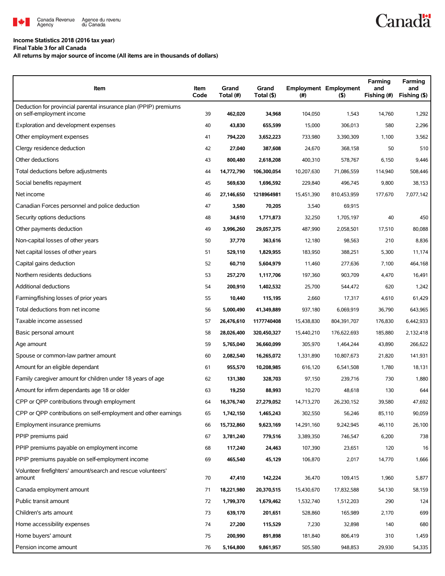

## **Income Statistics 2018 (2016 tax year)**

**Final Table 3 for all Canada**

**All returns by major source of income (All items are in thousands of dollars)**

| Item                                                                                          | Item<br>Code | Grand<br>Total (#) | Grand<br>Total (\$) | (#)        | <b>Employment Employment</b><br>$($ \$) | Farming<br>and<br>Fishing (#) | Farming<br>and<br>Fishing (\$) |
|-----------------------------------------------------------------------------------------------|--------------|--------------------|---------------------|------------|-----------------------------------------|-------------------------------|--------------------------------|
| Deduction for provincial parental insurance plan (PPIP) premiums<br>on self-employment income | 39           | 462,020            | 34,968              | 104,050    | 1,543                                   | 14,760                        | 1,292                          |
| Exploration and development expenses                                                          | 40           | 43,830             | 655,599             | 15,000     | 306,013                                 | 580                           | 2,296                          |
| Other employment expenses                                                                     | 41           | 794,220            | 3,652,223           | 733,980    | 3,390,309                               | 1,100                         | 3,562                          |
| Clergy residence deduction                                                                    | 42           | 27,040             | 387,608             | 24,670     | 368.158                                 | 50                            | 510                            |
| Other deductions                                                                              | 43           | 800,480            | 2,618,208           | 400,310    | 578,767                                 | 6,150                         | 9,446                          |
| Total deductions before adjustments                                                           | 44           | 14,772,790         | 106,300,054         | 10,207,630 | 71,086,559                              | 114,940                       | 508,446                        |
| Social benefits repayment                                                                     | 45           | 569,630            | 1,696,592           | 229,840    | 496,745                                 | 9,800                         | 38,153                         |
| Net income                                                                                    | 46           | 27,146,650         | 1218964981          | 15,451,390 | 810,453,959                             | 177,670                       | 7,077,142                      |
| Canadian Forces personnel and police deduction                                                | 47           | 3,580              | 70,205              | 3,540      | 69,915                                  |                               |                                |
| Security options deductions                                                                   | 48           | 34,610             | 1,771,873           | 32,250     | 1,705,197                               | 40                            | 450                            |
| Other payments deduction                                                                      | 49           | 3,996,260          | 29,057,375          | 487,990    | 2,058,501                               | 17,510                        | 80,088                         |
| Non-capital losses of other years                                                             | 50           | 37,770             | 363,616             | 12,180     | 98,563                                  | 210                           | 8,836                          |
| Net capital losses of other years                                                             | 51           | 529.110            | 1,829,955           | 183,950    | 388,251                                 | 5,300                         | 11,174                         |
| Capital gains deduction                                                                       | 52           | 60,710             | 5,604,979           | 11,460     | 277,636                                 | 7,100                         | 464,168                        |
| Northern residents deductions                                                                 | 53           | 257,270            | 1,117,706           | 197,360    | 903,709                                 | 4,470                         | 16,491                         |
| Additional deductions                                                                         | 54           | 200,910            | 1,402,532           | 25,700     | 544,472                                 | 620                           | 1,242                          |
| Farming/fishing losses of prior years                                                         | 55           | 10,440             | 115,195             | 2,660      | 17,317                                  | 4,610                         | 61,429                         |
| Total deductions from net income                                                              | 56           | 5,000,490          | 41,349,889          | 937,180    | 6,069,919                               | 36,790                        | 643,965                        |
| Taxable income assessed                                                                       | 57           | 26,476,610         | 1177740408          | 15,438,830 | 804,391,707                             | 176,830                       | 6,442,933                      |
| Basic personal amount                                                                         | 58           | 28,026,400         | 320,450,327         | 15,440,210 | 176,622,693                             | 185,880                       | 2,132,418                      |
| Age amount                                                                                    | 59           | 5,765,040          | 36,660,099          | 305,970    | 1,464,244                               | 43,890                        | 266,622                        |
| Spouse or common-law partner amount                                                           | 60           | 2,082,540          | 16,265,072          | 1,331,890  | 10,807,673                              | 21,820                        | 141,931                        |
| Amount for an eligible dependant                                                              | 61           | 955,570            | 10,208,985          | 616,120    | 6,541,508                               | 1,780                         | 18,131                         |
| Family caregiver amount for children under 18 years of age                                    | 62           | 131,380            | 328,703             | 97,150     | 239,716                                 | 730                           | 1,880                          |
| Amount for infirm dependants age 18 or older                                                  | 63           | 19,250             | 88,993              | 10,270     | 48,618                                  | 130                           | 644                            |
| CPP or QPP contributions through employment                                                   | 64           | 16,376,740         | 27,279,052          | 14,713,270 | 26,230,152                              | 39,580                        | 47,692                         |
| CPP or OPP contributions on self-employment and other earnings                                | 65           | 1,742,150          | 1,465,243           | 302,550    | 56,246                                  | 85,110                        | 90,059                         |
| Employment insurance premiums                                                                 | 66           | 15,732,860         | 9,623,169           | 14,291,160 | 9,242,945                               | 46,110                        | 26,100                         |
| PPIP premiums paid                                                                            | 67           | 3,781,240          | 779,516             | 3,389,350  | 746,547                                 | 6,200                         | 738                            |
| PPIP premiums payable on employment income                                                    | 68           | 117,240            | 24,463              | 107,390    | 23,651                                  | 120                           | 16                             |
| PPIP premiums payable on self-employment income                                               | 69           | 465,540            | 45,129              | 106,870    | 2,017                                   | 14,770                        | 1,666                          |
| Volunteer firefighters' amount/search and rescue volunteers'<br>amount                        | 70           | 47,410             | 142,224             | 36,470     | 109,415                                 | 1,960                         | 5,877                          |
| Canada employment amount                                                                      | 71           | 18,221,980         | 20,370,515          | 15,430,670 | 17,832,588                              | 54,130                        | 58,159                         |
| Public transit amount                                                                         | 72           | 1,799,370          | 1,679,462           | 1,532,740  | 1,512,203                               | 290                           | 124                            |
| Children's arts amount                                                                        | 73           | 639,170            | 201,651             | 528,860    | 165,989                                 | 2,170                         | 699                            |
| Home accessibility expenses                                                                   | 74           | 27,200             | 115,529             | 7,230      | 32,898                                  | 140                           | 680                            |
| Home buyers' amount                                                                           | 75           | 200,990            | 891,898             | 181,840    | 806,419                                 | 310                           | 1,459                          |
| Pension income amount                                                                         | 76           | 5,164,800          | 9,861,957           | 505,580    | 948,853                                 | 29,930                        | 54,335                         |

**Canadä**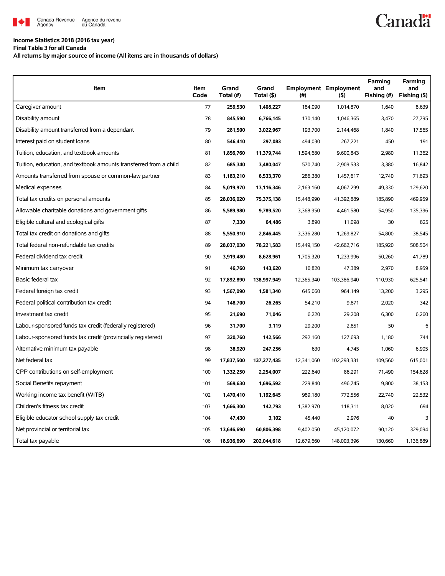

## **Income Statistics 2018 (2016 tax year)**

**Final Table 3 for all Canada**

**All returns by major source of income (All items are in thousands of dollars)**

| Item                                                              | Item<br>Code | Grand<br>Total (#) | Grand<br>Total (\$) | (# )       | <b>Employment Employment</b><br>(5) | Farming<br>and<br>Fishing (#) | Farming<br>and<br>Fishing (\$) |
|-------------------------------------------------------------------|--------------|--------------------|---------------------|------------|-------------------------------------|-------------------------------|--------------------------------|
| Caregiver amount                                                  | 77           | 259,530            | 1,408,227           | 184,090    | 1,014,870                           | 1,640                         | 8,639                          |
| Disability amount                                                 | 78           | 845,590            | 6,766,145           | 130,140    | 1,046,365                           | 3,470                         | 27,795                         |
| Disability amount transferred from a dependant                    | 79           | 281,500            | 3,022,967           | 193,700    | 2,144,468                           | 1,840                         | 17,565                         |
| Interest paid on student loans                                    | 80           | 546,410            | 297,083             | 494,030    | 267,221                             | 450                           | 191                            |
| Tuition, education, and textbook amounts                          | 81           | 1,856,760          | 11,379,744          | 1,594,680  | 9.600.843                           | 2,980                         | 11.362                         |
| Tuition, education, and textbook amounts transferred from a child | 82           | 685,340            | 3,480,047           | 570,740    | 2,909,533                           | 3,380                         | 16,842                         |
| Amounts transferred from spouse or common-law partner             | 83           | 1,183,210          | 6,533,370           | 286,380    | 1,457,617                           | 12,740                        | 71,693                         |
| Medical expenses                                                  | 84           | 5,019,970          | 13,116,346          | 2,163,160  | 4,067,299                           | 49,330                        | 129,620                        |
| Total tax credits on personal amounts                             | 85           | 28,036,020         | 75,375,138          | 15,448,990 | 41,392,889                          | 185,890                       | 469,959                        |
| Allowable charitable donations and government gifts               | 86           | 5,589,980          | 9,789,520           | 3,368,950  | 4,461,580                           | 54,950                        | 135,396                        |
| Eligible cultural and ecological gifts                            | 87           | 7,330              | 64,486              | 3,890      | 11,098                              | 30                            | 825                            |
| Total tax credit on donations and gifts                           | 88           | 5,550,910          | 2,846,445           | 3,336,280  | 1,269,827                           | 54,800                        | 38,545                         |
| Total federal non-refundable tax credits                          | 89           | 28,037,030         | 78,221,583          | 15,449,150 | 42,662,716                          | 185,920                       | 508,504                        |
| Federal dividend tax credit                                       | 90           | 3,919,480          | 8,628,961           | 1,705,320  | 1,233,996                           | 50,260                        | 41,789                         |
| Minimum tax carryover                                             | 91           | 46,760             | 143,620             | 10,820     | 47,389                              | 2,970                         | 8,959                          |
| Basic federal tax                                                 | 92           | 17,892,890         | 138,997,949         | 12,365,340 | 103,386,940                         | 110,930                       | 625,541                        |
| Federal foreign tax credit                                        | 93           | 1,567,090          | 1,581,340           | 645,060    | 964,149                             | 13,200                        | 3,295                          |
| Federal political contribution tax credit                         | 94           | 148,700            | 26,265              | 54,210     | 9,871                               | 2,020                         | 342                            |
| Investment tax credit                                             | 95           | 21,690             | 71,046              | 6,220      | 29,208                              | 6,300                         | 6,260                          |
| Labour-sponsored funds tax credit (federally registered)          | 96           | 31,700             | 3,119               | 29,200     | 2,851                               | 50                            | 6                              |
| Labour-sponsored funds tax credit (provincially registered)       | 97           | 320,760            | 142,566             | 292,160    | 127,693                             | 1,180                         | 744                            |
| Alternative minimum tax payable                                   | 98           | 38.920             | 247,256             | 630        | 4.745                               | 1,060                         | 6,905                          |
| Net federal tax                                                   | 99           | 17,837,500         | 137,277,435         | 12,341,060 | 102,293,331                         | 109,560                       | 615,001                        |
| CPP contributions on self-employment                              | 100          | 1,332,250          | 2,254,007           | 222,640    | 86,291                              | 71,490                        | 154,628                        |
| Social Benefits repayment                                         | 101          | 569,630            | 1,696,592           | 229,840    | 496,745                             | 9,800                         | 38,153                         |
| Working income tax benefit (WITB)                                 | 102          | 1,470,410          | 1,192,645           | 989,180    | 772,556                             | 22,740                        | 22,532                         |
| Children's fitness tax credit                                     | 103          | 1,666,300          | 142,793             | 1,382,970  | 118,311                             | 8,020                         | 694                            |
| Eligible educator school supply tax credit                        | 104          | 47,430             | 3,102               | 45,440     | 2,976                               | 40                            | 3                              |
| Net provincial or territorial tax                                 | 105          | 13,646,690         | 60,806,398          | 9,402,050  | 45,120,072                          | 90,120                        | 329,094                        |
| Total tax payable                                                 | 106          | 18,936,690         | 202,044,618         | 12,679,660 | 148,003,396                         | 130,660                       | 1,136,889                      |

**Canadä**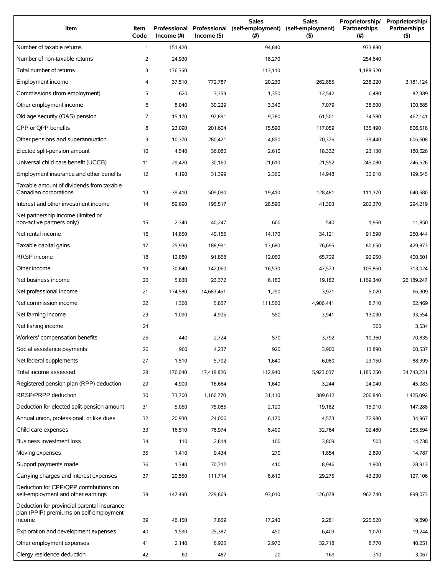| Number of taxable returns<br>$\mathbf{1}$<br>151,420<br>94,840<br>933,880<br>Number of non-taxable returns<br>2<br>24,930<br>18,270<br>254,640<br>Total number of returns<br>3<br>176,350<br>113,110<br>1,188,520<br>Employment income<br>37,510<br>772,787<br>20,230<br>262,855<br>238,220<br>3,181,124<br>4<br>Commissions (from employment)<br>5<br>620<br>12,542<br>82,389<br>3,359<br>1,350<br>6,480<br>Other employment income<br>6<br>8,040<br>30,229<br>7,079<br>38,500<br>100,685<br>3,340<br>Old age security (OAS) pension<br>7<br>462,141<br>15,170<br>97,891<br>9,780<br>61,501<br>74,580<br>CPP or OPP benefits<br>8<br>23,090<br>806,518<br>201,604<br>15,590<br>117,059<br>135,490<br>Other pensions and superannuation<br>9<br>70,376<br>606,608<br>10,370<br>280,421<br>4,850<br>39,440<br>Elected split-pension amount<br>10<br>18,332<br>180,026<br>4,540<br>36,080<br>2,610<br>23,130<br>Universal child care benefit (UCCB)<br>11<br>21,552<br>245,080<br>246,526<br>29,420<br>30,160<br>21,610<br>Employment insurance and other benefits<br>12<br>4,190<br>14,948<br>32,610<br>199,545<br>31,399<br>2,360<br>Taxable amount of dividends from taxable<br>13<br>Canadian corporations<br>509,090<br>39,410<br>19,410<br>128,481<br>111,370<br>640,580<br>Interest and other investment income<br>14<br>28,590<br>41,303<br>202,370<br>294,219<br>59,690<br>195,517<br>Net partnership income (limited or<br>non-active partners only)<br>15<br>2,340<br>40,247<br>600<br>$-540$<br>1,950<br>11,850<br>Net rental income<br>16<br>260,444<br>14,850<br>40,165<br>14,170<br>34,121<br>91,590<br>Taxable capital gains<br>17<br>25,930<br>76,695<br>429,873<br>188,991<br>13,680<br>80,650<br>RRSP income<br>18<br>65,729<br>92,950<br>400,501<br>12,880<br>91,868<br>12,050<br>Other income<br>19<br>47,573<br>313,024<br>30,840<br>142,060<br>16,530<br>105,860<br>Net business income<br>20<br>26,189,247<br>5,830<br>23,372<br>6,180<br>19,182<br>1,169,340<br>Net professional income<br>21<br>174,580<br>1,290<br>3,971<br>5,020<br>66,909<br>14,683,461<br>Net commission income<br>22<br>1,360<br>111,560<br>52,469<br>5,857<br>4,906,441<br>8,710<br>Net farming income<br>23<br>1,090<br>550<br>$-3,941$<br>$-33,554$<br>$-4,905$<br>13,030<br>Net fishing income<br>24<br>3,534<br>360<br>70,835<br>Workers' compensation benefits<br>25<br>440<br>2,724<br>570<br>3,792<br>10,360<br>960<br>920<br>3,900<br>60,537<br>Social assistance payments<br>26<br>4,237<br>13,890<br>Net federal supplements<br>27<br>1,510<br>5,792<br>6,080<br>23,150<br>88,399<br>1,640<br>Total income assessed<br>28<br>176,040<br>17,418,826<br>112,940<br>5,923,037<br>34,743,231<br>1,185,250<br>Registered pension plan (RPP) deduction<br>29<br>4,900<br>3,244<br>24,040<br>45,983<br>16,664<br>1,640<br>RRSP/PRPP deduction<br>30<br>1,166,770<br>206,840<br>1,425,092<br>73,700<br>31,110<br>389,612<br>Deduction for elected split-pension amount<br>31<br>19,182<br>15,910<br>147,288<br>5,050<br>75,085<br>2,120<br>Annual union, professional, or like dues<br>32<br>24,006<br>4,573<br>72,980<br>34,967<br>20,930<br>6,170<br>Child care expenses<br>33<br>32,764<br>92,480<br>283,594<br>16,510<br>78,974<br>8,400<br>Business investment loss<br>110<br>100<br>3,809<br>500<br>14,738<br>34<br>2,814<br>Moving expenses<br>35<br>1,410<br>9,434<br>270<br>1,854<br>2,890<br>14,787<br>Support payments made<br>36<br>8,946<br>28,913<br>1,340<br>70,712<br>410<br>1,900<br>Carrying charges and interest expenses<br>37<br>20,550<br>111,714<br>8,610<br>29,275<br>43,230<br>127,106<br>Deduction for CPP/OPP contributions on<br>self-employment and other earnings<br>38<br>147,490<br>229,869<br>93,010<br>126,078<br>962,740<br>899,073<br>Deduction for provincial parental insurance<br>plan (PPIP) premiums on self-employment<br>income<br>46,150<br>7,859<br>17,240<br>2,281<br>225,520<br>19,890<br>39<br>Exploration and development expenses<br>40<br>1,590<br>450<br>6,409<br>19,244<br>25,387<br>1,070<br>Other employment expenses<br>41<br>40,251<br>2,140<br>8,925<br>2,970<br>32,718<br>8,770 | Item                       | Item<br>Code | Professional<br>Income $(\#)$ | Income(S) | <b>Sales</b><br>Professional (self-employment)<br>(#) | <b>Sales</b><br>(self-employment)<br>(5) | Proprietorship/<br>Partnerships<br>$^{(#)}$ | Proprietorship/<br>Partnerships<br>(5) |
|--------------------------------------------------------------------------------------------------------------------------------------------------------------------------------------------------------------------------------------------------------------------------------------------------------------------------------------------------------------------------------------------------------------------------------------------------------------------------------------------------------------------------------------------------------------------------------------------------------------------------------------------------------------------------------------------------------------------------------------------------------------------------------------------------------------------------------------------------------------------------------------------------------------------------------------------------------------------------------------------------------------------------------------------------------------------------------------------------------------------------------------------------------------------------------------------------------------------------------------------------------------------------------------------------------------------------------------------------------------------------------------------------------------------------------------------------------------------------------------------------------------------------------------------------------------------------------------------------------------------------------------------------------------------------------------------------------------------------------------------------------------------------------------------------------------------------------------------------------------------------------------------------------------------------------------------------------------------------------------------------------------------------------------------------------------------------------------------------------------------------------------------------------------------------------------------------------------------------------------------------------------------------------------------------------------------------------------------------------------------------------------------------------------------------------------------------------------------------------------------------------------------------------------------------------------------------------------------------------------------------------------------------------------------------------------------------------------------------------------------------------------------------------------------------------------------------------------------------------------------------------------------------------------------------------------------------------------------------------------------------------------------------------------------------------------------------------------------------------------------------------------------------------------------------------------------------------------------------------------------------------------------------------------------------------------------------------------------------------------------------------------------------------------------------------------------------------------------------------------------------------------------------------------------------------------------------------------------------------------------------------------------------------------------------------------------------------------------------------------------------------------------------------------------------------------------------------------------------------------------------------------------------------------------------------------------------------------------------------------------------------------------------------------------------------------------------------------------------------------------------------------------|----------------------------|--------------|-------------------------------|-----------|-------------------------------------------------------|------------------------------------------|---------------------------------------------|----------------------------------------|
|                                                                                                                                                                                                                                                                                                                                                                                                                                                                                                                                                                                                                                                                                                                                                                                                                                                                                                                                                                                                                                                                                                                                                                                                                                                                                                                                                                                                                                                                                                                                                                                                                                                                                                                                                                                                                                                                                                                                                                                                                                                                                                                                                                                                                                                                                                                                                                                                                                                                                                                                                                                                                                                                                                                                                                                                                                                                                                                                                                                                                                                                                                                                                                                                                                                                                                                                                                                                                                                                                                                                                                                                                                                                                                                                                                                                                                                                                                                                                                                                                                                                                                                                            |                            |              |                               |           |                                                       |                                          |                                             |                                        |
|                                                                                                                                                                                                                                                                                                                                                                                                                                                                                                                                                                                                                                                                                                                                                                                                                                                                                                                                                                                                                                                                                                                                                                                                                                                                                                                                                                                                                                                                                                                                                                                                                                                                                                                                                                                                                                                                                                                                                                                                                                                                                                                                                                                                                                                                                                                                                                                                                                                                                                                                                                                                                                                                                                                                                                                                                                                                                                                                                                                                                                                                                                                                                                                                                                                                                                                                                                                                                                                                                                                                                                                                                                                                                                                                                                                                                                                                                                                                                                                                                                                                                                                                            |                            |              |                               |           |                                                       |                                          |                                             |                                        |
|                                                                                                                                                                                                                                                                                                                                                                                                                                                                                                                                                                                                                                                                                                                                                                                                                                                                                                                                                                                                                                                                                                                                                                                                                                                                                                                                                                                                                                                                                                                                                                                                                                                                                                                                                                                                                                                                                                                                                                                                                                                                                                                                                                                                                                                                                                                                                                                                                                                                                                                                                                                                                                                                                                                                                                                                                                                                                                                                                                                                                                                                                                                                                                                                                                                                                                                                                                                                                                                                                                                                                                                                                                                                                                                                                                                                                                                                                                                                                                                                                                                                                                                                            |                            |              |                               |           |                                                       |                                          |                                             |                                        |
|                                                                                                                                                                                                                                                                                                                                                                                                                                                                                                                                                                                                                                                                                                                                                                                                                                                                                                                                                                                                                                                                                                                                                                                                                                                                                                                                                                                                                                                                                                                                                                                                                                                                                                                                                                                                                                                                                                                                                                                                                                                                                                                                                                                                                                                                                                                                                                                                                                                                                                                                                                                                                                                                                                                                                                                                                                                                                                                                                                                                                                                                                                                                                                                                                                                                                                                                                                                                                                                                                                                                                                                                                                                                                                                                                                                                                                                                                                                                                                                                                                                                                                                                            |                            |              |                               |           |                                                       |                                          |                                             |                                        |
|                                                                                                                                                                                                                                                                                                                                                                                                                                                                                                                                                                                                                                                                                                                                                                                                                                                                                                                                                                                                                                                                                                                                                                                                                                                                                                                                                                                                                                                                                                                                                                                                                                                                                                                                                                                                                                                                                                                                                                                                                                                                                                                                                                                                                                                                                                                                                                                                                                                                                                                                                                                                                                                                                                                                                                                                                                                                                                                                                                                                                                                                                                                                                                                                                                                                                                                                                                                                                                                                                                                                                                                                                                                                                                                                                                                                                                                                                                                                                                                                                                                                                                                                            |                            |              |                               |           |                                                       |                                          |                                             |                                        |
|                                                                                                                                                                                                                                                                                                                                                                                                                                                                                                                                                                                                                                                                                                                                                                                                                                                                                                                                                                                                                                                                                                                                                                                                                                                                                                                                                                                                                                                                                                                                                                                                                                                                                                                                                                                                                                                                                                                                                                                                                                                                                                                                                                                                                                                                                                                                                                                                                                                                                                                                                                                                                                                                                                                                                                                                                                                                                                                                                                                                                                                                                                                                                                                                                                                                                                                                                                                                                                                                                                                                                                                                                                                                                                                                                                                                                                                                                                                                                                                                                                                                                                                                            |                            |              |                               |           |                                                       |                                          |                                             |                                        |
|                                                                                                                                                                                                                                                                                                                                                                                                                                                                                                                                                                                                                                                                                                                                                                                                                                                                                                                                                                                                                                                                                                                                                                                                                                                                                                                                                                                                                                                                                                                                                                                                                                                                                                                                                                                                                                                                                                                                                                                                                                                                                                                                                                                                                                                                                                                                                                                                                                                                                                                                                                                                                                                                                                                                                                                                                                                                                                                                                                                                                                                                                                                                                                                                                                                                                                                                                                                                                                                                                                                                                                                                                                                                                                                                                                                                                                                                                                                                                                                                                                                                                                                                            |                            |              |                               |           |                                                       |                                          |                                             |                                        |
|                                                                                                                                                                                                                                                                                                                                                                                                                                                                                                                                                                                                                                                                                                                                                                                                                                                                                                                                                                                                                                                                                                                                                                                                                                                                                                                                                                                                                                                                                                                                                                                                                                                                                                                                                                                                                                                                                                                                                                                                                                                                                                                                                                                                                                                                                                                                                                                                                                                                                                                                                                                                                                                                                                                                                                                                                                                                                                                                                                                                                                                                                                                                                                                                                                                                                                                                                                                                                                                                                                                                                                                                                                                                                                                                                                                                                                                                                                                                                                                                                                                                                                                                            |                            |              |                               |           |                                                       |                                          |                                             |                                        |
|                                                                                                                                                                                                                                                                                                                                                                                                                                                                                                                                                                                                                                                                                                                                                                                                                                                                                                                                                                                                                                                                                                                                                                                                                                                                                                                                                                                                                                                                                                                                                                                                                                                                                                                                                                                                                                                                                                                                                                                                                                                                                                                                                                                                                                                                                                                                                                                                                                                                                                                                                                                                                                                                                                                                                                                                                                                                                                                                                                                                                                                                                                                                                                                                                                                                                                                                                                                                                                                                                                                                                                                                                                                                                                                                                                                                                                                                                                                                                                                                                                                                                                                                            |                            |              |                               |           |                                                       |                                          |                                             |                                        |
|                                                                                                                                                                                                                                                                                                                                                                                                                                                                                                                                                                                                                                                                                                                                                                                                                                                                                                                                                                                                                                                                                                                                                                                                                                                                                                                                                                                                                                                                                                                                                                                                                                                                                                                                                                                                                                                                                                                                                                                                                                                                                                                                                                                                                                                                                                                                                                                                                                                                                                                                                                                                                                                                                                                                                                                                                                                                                                                                                                                                                                                                                                                                                                                                                                                                                                                                                                                                                                                                                                                                                                                                                                                                                                                                                                                                                                                                                                                                                                                                                                                                                                                                            |                            |              |                               |           |                                                       |                                          |                                             |                                        |
|                                                                                                                                                                                                                                                                                                                                                                                                                                                                                                                                                                                                                                                                                                                                                                                                                                                                                                                                                                                                                                                                                                                                                                                                                                                                                                                                                                                                                                                                                                                                                                                                                                                                                                                                                                                                                                                                                                                                                                                                                                                                                                                                                                                                                                                                                                                                                                                                                                                                                                                                                                                                                                                                                                                                                                                                                                                                                                                                                                                                                                                                                                                                                                                                                                                                                                                                                                                                                                                                                                                                                                                                                                                                                                                                                                                                                                                                                                                                                                                                                                                                                                                                            |                            |              |                               |           |                                                       |                                          |                                             |                                        |
|                                                                                                                                                                                                                                                                                                                                                                                                                                                                                                                                                                                                                                                                                                                                                                                                                                                                                                                                                                                                                                                                                                                                                                                                                                                                                                                                                                                                                                                                                                                                                                                                                                                                                                                                                                                                                                                                                                                                                                                                                                                                                                                                                                                                                                                                                                                                                                                                                                                                                                                                                                                                                                                                                                                                                                                                                                                                                                                                                                                                                                                                                                                                                                                                                                                                                                                                                                                                                                                                                                                                                                                                                                                                                                                                                                                                                                                                                                                                                                                                                                                                                                                                            |                            |              |                               |           |                                                       |                                          |                                             |                                        |
|                                                                                                                                                                                                                                                                                                                                                                                                                                                                                                                                                                                                                                                                                                                                                                                                                                                                                                                                                                                                                                                                                                                                                                                                                                                                                                                                                                                                                                                                                                                                                                                                                                                                                                                                                                                                                                                                                                                                                                                                                                                                                                                                                                                                                                                                                                                                                                                                                                                                                                                                                                                                                                                                                                                                                                                                                                                                                                                                                                                                                                                                                                                                                                                                                                                                                                                                                                                                                                                                                                                                                                                                                                                                                                                                                                                                                                                                                                                                                                                                                                                                                                                                            |                            |              |                               |           |                                                       |                                          |                                             |                                        |
|                                                                                                                                                                                                                                                                                                                                                                                                                                                                                                                                                                                                                                                                                                                                                                                                                                                                                                                                                                                                                                                                                                                                                                                                                                                                                                                                                                                                                                                                                                                                                                                                                                                                                                                                                                                                                                                                                                                                                                                                                                                                                                                                                                                                                                                                                                                                                                                                                                                                                                                                                                                                                                                                                                                                                                                                                                                                                                                                                                                                                                                                                                                                                                                                                                                                                                                                                                                                                                                                                                                                                                                                                                                                                                                                                                                                                                                                                                                                                                                                                                                                                                                                            |                            |              |                               |           |                                                       |                                          |                                             |                                        |
|                                                                                                                                                                                                                                                                                                                                                                                                                                                                                                                                                                                                                                                                                                                                                                                                                                                                                                                                                                                                                                                                                                                                                                                                                                                                                                                                                                                                                                                                                                                                                                                                                                                                                                                                                                                                                                                                                                                                                                                                                                                                                                                                                                                                                                                                                                                                                                                                                                                                                                                                                                                                                                                                                                                                                                                                                                                                                                                                                                                                                                                                                                                                                                                                                                                                                                                                                                                                                                                                                                                                                                                                                                                                                                                                                                                                                                                                                                                                                                                                                                                                                                                                            |                            |              |                               |           |                                                       |                                          |                                             |                                        |
|                                                                                                                                                                                                                                                                                                                                                                                                                                                                                                                                                                                                                                                                                                                                                                                                                                                                                                                                                                                                                                                                                                                                                                                                                                                                                                                                                                                                                                                                                                                                                                                                                                                                                                                                                                                                                                                                                                                                                                                                                                                                                                                                                                                                                                                                                                                                                                                                                                                                                                                                                                                                                                                                                                                                                                                                                                                                                                                                                                                                                                                                                                                                                                                                                                                                                                                                                                                                                                                                                                                                                                                                                                                                                                                                                                                                                                                                                                                                                                                                                                                                                                                                            |                            |              |                               |           |                                                       |                                          |                                             |                                        |
|                                                                                                                                                                                                                                                                                                                                                                                                                                                                                                                                                                                                                                                                                                                                                                                                                                                                                                                                                                                                                                                                                                                                                                                                                                                                                                                                                                                                                                                                                                                                                                                                                                                                                                                                                                                                                                                                                                                                                                                                                                                                                                                                                                                                                                                                                                                                                                                                                                                                                                                                                                                                                                                                                                                                                                                                                                                                                                                                                                                                                                                                                                                                                                                                                                                                                                                                                                                                                                                                                                                                                                                                                                                                                                                                                                                                                                                                                                                                                                                                                                                                                                                                            |                            |              |                               |           |                                                       |                                          |                                             |                                        |
|                                                                                                                                                                                                                                                                                                                                                                                                                                                                                                                                                                                                                                                                                                                                                                                                                                                                                                                                                                                                                                                                                                                                                                                                                                                                                                                                                                                                                                                                                                                                                                                                                                                                                                                                                                                                                                                                                                                                                                                                                                                                                                                                                                                                                                                                                                                                                                                                                                                                                                                                                                                                                                                                                                                                                                                                                                                                                                                                                                                                                                                                                                                                                                                                                                                                                                                                                                                                                                                                                                                                                                                                                                                                                                                                                                                                                                                                                                                                                                                                                                                                                                                                            |                            |              |                               |           |                                                       |                                          |                                             |                                        |
|                                                                                                                                                                                                                                                                                                                                                                                                                                                                                                                                                                                                                                                                                                                                                                                                                                                                                                                                                                                                                                                                                                                                                                                                                                                                                                                                                                                                                                                                                                                                                                                                                                                                                                                                                                                                                                                                                                                                                                                                                                                                                                                                                                                                                                                                                                                                                                                                                                                                                                                                                                                                                                                                                                                                                                                                                                                                                                                                                                                                                                                                                                                                                                                                                                                                                                                                                                                                                                                                                                                                                                                                                                                                                                                                                                                                                                                                                                                                                                                                                                                                                                                                            |                            |              |                               |           |                                                       |                                          |                                             |                                        |
|                                                                                                                                                                                                                                                                                                                                                                                                                                                                                                                                                                                                                                                                                                                                                                                                                                                                                                                                                                                                                                                                                                                                                                                                                                                                                                                                                                                                                                                                                                                                                                                                                                                                                                                                                                                                                                                                                                                                                                                                                                                                                                                                                                                                                                                                                                                                                                                                                                                                                                                                                                                                                                                                                                                                                                                                                                                                                                                                                                                                                                                                                                                                                                                                                                                                                                                                                                                                                                                                                                                                                                                                                                                                                                                                                                                                                                                                                                                                                                                                                                                                                                                                            |                            |              |                               |           |                                                       |                                          |                                             |                                        |
|                                                                                                                                                                                                                                                                                                                                                                                                                                                                                                                                                                                                                                                                                                                                                                                                                                                                                                                                                                                                                                                                                                                                                                                                                                                                                                                                                                                                                                                                                                                                                                                                                                                                                                                                                                                                                                                                                                                                                                                                                                                                                                                                                                                                                                                                                                                                                                                                                                                                                                                                                                                                                                                                                                                                                                                                                                                                                                                                                                                                                                                                                                                                                                                                                                                                                                                                                                                                                                                                                                                                                                                                                                                                                                                                                                                                                                                                                                                                                                                                                                                                                                                                            |                            |              |                               |           |                                                       |                                          |                                             |                                        |
|                                                                                                                                                                                                                                                                                                                                                                                                                                                                                                                                                                                                                                                                                                                                                                                                                                                                                                                                                                                                                                                                                                                                                                                                                                                                                                                                                                                                                                                                                                                                                                                                                                                                                                                                                                                                                                                                                                                                                                                                                                                                                                                                                                                                                                                                                                                                                                                                                                                                                                                                                                                                                                                                                                                                                                                                                                                                                                                                                                                                                                                                                                                                                                                                                                                                                                                                                                                                                                                                                                                                                                                                                                                                                                                                                                                                                                                                                                                                                                                                                                                                                                                                            |                            |              |                               |           |                                                       |                                          |                                             |                                        |
|                                                                                                                                                                                                                                                                                                                                                                                                                                                                                                                                                                                                                                                                                                                                                                                                                                                                                                                                                                                                                                                                                                                                                                                                                                                                                                                                                                                                                                                                                                                                                                                                                                                                                                                                                                                                                                                                                                                                                                                                                                                                                                                                                                                                                                                                                                                                                                                                                                                                                                                                                                                                                                                                                                                                                                                                                                                                                                                                                                                                                                                                                                                                                                                                                                                                                                                                                                                                                                                                                                                                                                                                                                                                                                                                                                                                                                                                                                                                                                                                                                                                                                                                            |                            |              |                               |           |                                                       |                                          |                                             |                                        |
|                                                                                                                                                                                                                                                                                                                                                                                                                                                                                                                                                                                                                                                                                                                                                                                                                                                                                                                                                                                                                                                                                                                                                                                                                                                                                                                                                                                                                                                                                                                                                                                                                                                                                                                                                                                                                                                                                                                                                                                                                                                                                                                                                                                                                                                                                                                                                                                                                                                                                                                                                                                                                                                                                                                                                                                                                                                                                                                                                                                                                                                                                                                                                                                                                                                                                                                                                                                                                                                                                                                                                                                                                                                                                                                                                                                                                                                                                                                                                                                                                                                                                                                                            |                            |              |                               |           |                                                       |                                          |                                             |                                        |
|                                                                                                                                                                                                                                                                                                                                                                                                                                                                                                                                                                                                                                                                                                                                                                                                                                                                                                                                                                                                                                                                                                                                                                                                                                                                                                                                                                                                                                                                                                                                                                                                                                                                                                                                                                                                                                                                                                                                                                                                                                                                                                                                                                                                                                                                                                                                                                                                                                                                                                                                                                                                                                                                                                                                                                                                                                                                                                                                                                                                                                                                                                                                                                                                                                                                                                                                                                                                                                                                                                                                                                                                                                                                                                                                                                                                                                                                                                                                                                                                                                                                                                                                            |                            |              |                               |           |                                                       |                                          |                                             |                                        |
|                                                                                                                                                                                                                                                                                                                                                                                                                                                                                                                                                                                                                                                                                                                                                                                                                                                                                                                                                                                                                                                                                                                                                                                                                                                                                                                                                                                                                                                                                                                                                                                                                                                                                                                                                                                                                                                                                                                                                                                                                                                                                                                                                                                                                                                                                                                                                                                                                                                                                                                                                                                                                                                                                                                                                                                                                                                                                                                                                                                                                                                                                                                                                                                                                                                                                                                                                                                                                                                                                                                                                                                                                                                                                                                                                                                                                                                                                                                                                                                                                                                                                                                                            |                            |              |                               |           |                                                       |                                          |                                             |                                        |
|                                                                                                                                                                                                                                                                                                                                                                                                                                                                                                                                                                                                                                                                                                                                                                                                                                                                                                                                                                                                                                                                                                                                                                                                                                                                                                                                                                                                                                                                                                                                                                                                                                                                                                                                                                                                                                                                                                                                                                                                                                                                                                                                                                                                                                                                                                                                                                                                                                                                                                                                                                                                                                                                                                                                                                                                                                                                                                                                                                                                                                                                                                                                                                                                                                                                                                                                                                                                                                                                                                                                                                                                                                                                                                                                                                                                                                                                                                                                                                                                                                                                                                                                            |                            |              |                               |           |                                                       |                                          |                                             |                                        |
|                                                                                                                                                                                                                                                                                                                                                                                                                                                                                                                                                                                                                                                                                                                                                                                                                                                                                                                                                                                                                                                                                                                                                                                                                                                                                                                                                                                                                                                                                                                                                                                                                                                                                                                                                                                                                                                                                                                                                                                                                                                                                                                                                                                                                                                                                                                                                                                                                                                                                                                                                                                                                                                                                                                                                                                                                                                                                                                                                                                                                                                                                                                                                                                                                                                                                                                                                                                                                                                                                                                                                                                                                                                                                                                                                                                                                                                                                                                                                                                                                                                                                                                                            |                            |              |                               |           |                                                       |                                          |                                             |                                        |
|                                                                                                                                                                                                                                                                                                                                                                                                                                                                                                                                                                                                                                                                                                                                                                                                                                                                                                                                                                                                                                                                                                                                                                                                                                                                                                                                                                                                                                                                                                                                                                                                                                                                                                                                                                                                                                                                                                                                                                                                                                                                                                                                                                                                                                                                                                                                                                                                                                                                                                                                                                                                                                                                                                                                                                                                                                                                                                                                                                                                                                                                                                                                                                                                                                                                                                                                                                                                                                                                                                                                                                                                                                                                                                                                                                                                                                                                                                                                                                                                                                                                                                                                            |                            |              |                               |           |                                                       |                                          |                                             |                                        |
|                                                                                                                                                                                                                                                                                                                                                                                                                                                                                                                                                                                                                                                                                                                                                                                                                                                                                                                                                                                                                                                                                                                                                                                                                                                                                                                                                                                                                                                                                                                                                                                                                                                                                                                                                                                                                                                                                                                                                                                                                                                                                                                                                                                                                                                                                                                                                                                                                                                                                                                                                                                                                                                                                                                                                                                                                                                                                                                                                                                                                                                                                                                                                                                                                                                                                                                                                                                                                                                                                                                                                                                                                                                                                                                                                                                                                                                                                                                                                                                                                                                                                                                                            |                            |              |                               |           |                                                       |                                          |                                             |                                        |
|                                                                                                                                                                                                                                                                                                                                                                                                                                                                                                                                                                                                                                                                                                                                                                                                                                                                                                                                                                                                                                                                                                                                                                                                                                                                                                                                                                                                                                                                                                                                                                                                                                                                                                                                                                                                                                                                                                                                                                                                                                                                                                                                                                                                                                                                                                                                                                                                                                                                                                                                                                                                                                                                                                                                                                                                                                                                                                                                                                                                                                                                                                                                                                                                                                                                                                                                                                                                                                                                                                                                                                                                                                                                                                                                                                                                                                                                                                                                                                                                                                                                                                                                            |                            |              |                               |           |                                                       |                                          |                                             |                                        |
|                                                                                                                                                                                                                                                                                                                                                                                                                                                                                                                                                                                                                                                                                                                                                                                                                                                                                                                                                                                                                                                                                                                                                                                                                                                                                                                                                                                                                                                                                                                                                                                                                                                                                                                                                                                                                                                                                                                                                                                                                                                                                                                                                                                                                                                                                                                                                                                                                                                                                                                                                                                                                                                                                                                                                                                                                                                                                                                                                                                                                                                                                                                                                                                                                                                                                                                                                                                                                                                                                                                                                                                                                                                                                                                                                                                                                                                                                                                                                                                                                                                                                                                                            |                            |              |                               |           |                                                       |                                          |                                             |                                        |
|                                                                                                                                                                                                                                                                                                                                                                                                                                                                                                                                                                                                                                                                                                                                                                                                                                                                                                                                                                                                                                                                                                                                                                                                                                                                                                                                                                                                                                                                                                                                                                                                                                                                                                                                                                                                                                                                                                                                                                                                                                                                                                                                                                                                                                                                                                                                                                                                                                                                                                                                                                                                                                                                                                                                                                                                                                                                                                                                                                                                                                                                                                                                                                                                                                                                                                                                                                                                                                                                                                                                                                                                                                                                                                                                                                                                                                                                                                                                                                                                                                                                                                                                            |                            |              |                               |           |                                                       |                                          |                                             |                                        |
|                                                                                                                                                                                                                                                                                                                                                                                                                                                                                                                                                                                                                                                                                                                                                                                                                                                                                                                                                                                                                                                                                                                                                                                                                                                                                                                                                                                                                                                                                                                                                                                                                                                                                                                                                                                                                                                                                                                                                                                                                                                                                                                                                                                                                                                                                                                                                                                                                                                                                                                                                                                                                                                                                                                                                                                                                                                                                                                                                                                                                                                                                                                                                                                                                                                                                                                                                                                                                                                                                                                                                                                                                                                                                                                                                                                                                                                                                                                                                                                                                                                                                                                                            |                            |              |                               |           |                                                       |                                          |                                             |                                        |
|                                                                                                                                                                                                                                                                                                                                                                                                                                                                                                                                                                                                                                                                                                                                                                                                                                                                                                                                                                                                                                                                                                                                                                                                                                                                                                                                                                                                                                                                                                                                                                                                                                                                                                                                                                                                                                                                                                                                                                                                                                                                                                                                                                                                                                                                                                                                                                                                                                                                                                                                                                                                                                                                                                                                                                                                                                                                                                                                                                                                                                                                                                                                                                                                                                                                                                                                                                                                                                                                                                                                                                                                                                                                                                                                                                                                                                                                                                                                                                                                                                                                                                                                            |                            |              |                               |           |                                                       |                                          |                                             |                                        |
|                                                                                                                                                                                                                                                                                                                                                                                                                                                                                                                                                                                                                                                                                                                                                                                                                                                                                                                                                                                                                                                                                                                                                                                                                                                                                                                                                                                                                                                                                                                                                                                                                                                                                                                                                                                                                                                                                                                                                                                                                                                                                                                                                                                                                                                                                                                                                                                                                                                                                                                                                                                                                                                                                                                                                                                                                                                                                                                                                                                                                                                                                                                                                                                                                                                                                                                                                                                                                                                                                                                                                                                                                                                                                                                                                                                                                                                                                                                                                                                                                                                                                                                                            |                            |              |                               |           |                                                       |                                          |                                             |                                        |
|                                                                                                                                                                                                                                                                                                                                                                                                                                                                                                                                                                                                                                                                                                                                                                                                                                                                                                                                                                                                                                                                                                                                                                                                                                                                                                                                                                                                                                                                                                                                                                                                                                                                                                                                                                                                                                                                                                                                                                                                                                                                                                                                                                                                                                                                                                                                                                                                                                                                                                                                                                                                                                                                                                                                                                                                                                                                                                                                                                                                                                                                                                                                                                                                                                                                                                                                                                                                                                                                                                                                                                                                                                                                                                                                                                                                                                                                                                                                                                                                                                                                                                                                            |                            |              |                               |           |                                                       |                                          |                                             |                                        |
|                                                                                                                                                                                                                                                                                                                                                                                                                                                                                                                                                                                                                                                                                                                                                                                                                                                                                                                                                                                                                                                                                                                                                                                                                                                                                                                                                                                                                                                                                                                                                                                                                                                                                                                                                                                                                                                                                                                                                                                                                                                                                                                                                                                                                                                                                                                                                                                                                                                                                                                                                                                                                                                                                                                                                                                                                                                                                                                                                                                                                                                                                                                                                                                                                                                                                                                                                                                                                                                                                                                                                                                                                                                                                                                                                                                                                                                                                                                                                                                                                                                                                                                                            |                            |              |                               |           |                                                       |                                          |                                             |                                        |
|                                                                                                                                                                                                                                                                                                                                                                                                                                                                                                                                                                                                                                                                                                                                                                                                                                                                                                                                                                                                                                                                                                                                                                                                                                                                                                                                                                                                                                                                                                                                                                                                                                                                                                                                                                                                                                                                                                                                                                                                                                                                                                                                                                                                                                                                                                                                                                                                                                                                                                                                                                                                                                                                                                                                                                                                                                                                                                                                                                                                                                                                                                                                                                                                                                                                                                                                                                                                                                                                                                                                                                                                                                                                                                                                                                                                                                                                                                                                                                                                                                                                                                                                            |                            |              |                               |           |                                                       |                                          |                                             |                                        |
|                                                                                                                                                                                                                                                                                                                                                                                                                                                                                                                                                                                                                                                                                                                                                                                                                                                                                                                                                                                                                                                                                                                                                                                                                                                                                                                                                                                                                                                                                                                                                                                                                                                                                                                                                                                                                                                                                                                                                                                                                                                                                                                                                                                                                                                                                                                                                                                                                                                                                                                                                                                                                                                                                                                                                                                                                                                                                                                                                                                                                                                                                                                                                                                                                                                                                                                                                                                                                                                                                                                                                                                                                                                                                                                                                                                                                                                                                                                                                                                                                                                                                                                                            |                            |              |                               |           |                                                       |                                          |                                             |                                        |
|                                                                                                                                                                                                                                                                                                                                                                                                                                                                                                                                                                                                                                                                                                                                                                                                                                                                                                                                                                                                                                                                                                                                                                                                                                                                                                                                                                                                                                                                                                                                                                                                                                                                                                                                                                                                                                                                                                                                                                                                                                                                                                                                                                                                                                                                                                                                                                                                                                                                                                                                                                                                                                                                                                                                                                                                                                                                                                                                                                                                                                                                                                                                                                                                                                                                                                                                                                                                                                                                                                                                                                                                                                                                                                                                                                                                                                                                                                                                                                                                                                                                                                                                            |                            |              |                               |           |                                                       |                                          |                                             |                                        |
|                                                                                                                                                                                                                                                                                                                                                                                                                                                                                                                                                                                                                                                                                                                                                                                                                                                                                                                                                                                                                                                                                                                                                                                                                                                                                                                                                                                                                                                                                                                                                                                                                                                                                                                                                                                                                                                                                                                                                                                                                                                                                                                                                                                                                                                                                                                                                                                                                                                                                                                                                                                                                                                                                                                                                                                                                                                                                                                                                                                                                                                                                                                                                                                                                                                                                                                                                                                                                                                                                                                                                                                                                                                                                                                                                                                                                                                                                                                                                                                                                                                                                                                                            | Clergy residence deduction | 42           | 60                            | 487       | 20                                                    | 169                                      | 310                                         | 3,067                                  |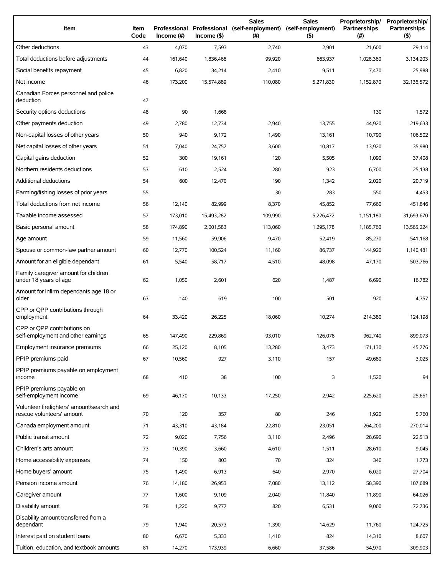| Item                                                                   | Item<br>Code | Professional<br>Income (#) | $Income($ \$) | <b>Sales</b><br>Professional (self-employment)<br>(#) | <b>Sales</b><br>(self-employment)<br>(5) | Proprietorship/<br>Partnerships<br>(# ) | Proprietorship/<br>Partnerships<br>(5) |
|------------------------------------------------------------------------|--------------|----------------------------|---------------|-------------------------------------------------------|------------------------------------------|-----------------------------------------|----------------------------------------|
| Other deductions                                                       | 43           | 4,070                      | 7,593         | 2,740                                                 | 2,901                                    | 21,600                                  | 29,114                                 |
| Total deductions before adjustments                                    | 44           | 161,640                    | 1,836,466     | 99,920                                                | 663,937                                  | 1,028,360                               | 3,134,203                              |
| Social benefits repayment                                              | 45           | 6,820                      | 34,214        | 2,410                                                 | 9,511                                    | 7,470                                   | 25,988                                 |
| Net income                                                             | 46           | 173,200                    | 15,574,889    | 110,080                                               | 5,271,830                                | 1,152,870                               | 32,136,572                             |
| Canadian Forces personnel and police<br>deduction                      | 47           |                            |               |                                                       |                                          |                                         |                                        |
| Security options deductions                                            | 48           | 90                         | 1,668         |                                                       |                                          | 130                                     | 1,572                                  |
| Other payments deduction                                               | 49           | 2,780                      | 12,734        | 2,940                                                 | 13,755                                   | 44,920                                  | 219,633                                |
| Non-capital losses of other years                                      | 50           | 940                        | 9,172         | 1,490                                                 | 13,161                                   | 10,790                                  | 106,502                                |
| Net capital losses of other years                                      | 51           | 7,040                      | 24,757        | 3,600                                                 | 10,817                                   | 13,920                                  | 35,980                                 |
| Capital gains deduction                                                | 52           | 300                        | 19,161        | 120                                                   | 5,505                                    | 1,090                                   | 37,408                                 |
| Northern residents deductions                                          | 53           | 610                        | 2,524         | 280                                                   | 923                                      | 6,700                                   | 25,138                                 |
| Additional deductions                                                  | 54           | 600                        | 12,470        | 190                                                   | 1,342                                    | 2,020                                   | 20,719                                 |
| Farming/fishing losses of prior years                                  | 55           |                            |               | 30                                                    | 283                                      | 550                                     | 4,453                                  |
| Total deductions from net income                                       | 56           | 12,140                     | 82,999        | 8,370                                                 | 45,852                                   | 77,660                                  | 451,846                                |
| Taxable income assessed                                                | 57           | 173,010                    | 15,493,282    | 109,990                                               | 5,226,472                                | 1,151,180                               | 31,693,670                             |
| Basic personal amount                                                  | 58           | 174,890                    | 2,001,583     | 113,060                                               | 1,295,178                                | 1,185,760                               | 13,565,224                             |
| Age amount                                                             | 59           | 11,560                     | 59,906        | 9,470                                                 | 52,419                                   | 85,270                                  | 541,168                                |
| Spouse or common-law partner amount                                    | 60           | 12,770                     | 100,524       | 11,160                                                | 86,737                                   | 144,920                                 | 1,140,481                              |
| Amount for an eligible dependant                                       | 61           | 5,540                      | 58,717        | 4,510                                                 | 48,098                                   | 47,170                                  | 503,766                                |
| Family caregiver amount for children<br>under 18 years of age          | 62           | 1,050                      | 2,601         | 620                                                   | 1,487                                    | 6,690                                   | 16,782                                 |
| Amount for infirm dependants age 18 or<br>older                        | 63           | 140                        | 619           | 100                                                   | 501                                      | 920                                     | 4,357                                  |
| CPP or QPP contributions through<br>employment                         | 64           | 33,420                     | 26,225        | 18,060                                                | 10,274                                   | 214,380                                 | 124,198                                |
| CPP or OPP contributions on<br>self-employment and other earnings      | 65           | 147,490                    | 229,869       | 93,010                                                | 126,078                                  | 962,740                                 | 899.073                                |
| Employment insurance premiums                                          | 66           | 25,120                     | 8,105         | 13,280                                                | 3,473                                    | 171,130                                 | 45,776                                 |
| PPIP premiums paid                                                     | 67           | 10,560                     | 927           | 3,110                                                 | 157                                      | 49,680                                  | 3,025                                  |
| PPIP premiums payable on employment<br>income                          | 68           | 410                        | 38            | 100                                                   | 3                                        | 1,520                                   | 94                                     |
| PPIP premiums payable on<br>self-employment income                     | 69           | 46,170                     | 10,133        | 17,250                                                | 2,942                                    | 225,620                                 | 25,651                                 |
| Volunteer firefighters' amount/search and<br>rescue volunteers' amount | 70           | 120                        | 357           | 80                                                    | 246                                      | 1,920                                   | 5,760                                  |
| Canada employment amount                                               | 71           | 43,310                     | 43,184        | 22,810                                                | 23,051                                   | 264,200                                 | 270,014                                |
| Public transit amount                                                  | 72           | 9,020                      | 7,756         | 3,110                                                 | 2,496                                    | 28,690                                  | 22,513                                 |
| Children's arts amount                                                 | 73           | 10,390                     | 3,660         | 4,610                                                 | 1,511                                    | 28,610                                  | 9,045                                  |
| Home accessibility expenses                                            | 74           | 150                        | 803           | 70                                                    | 324                                      | 340                                     | 1,773                                  |
| Home buyers' amount                                                    | 75           | 1,490                      | 6,913         | 640                                                   | 2,970                                    | 6,020                                   | 27,704                                 |
| Pension income amount                                                  | 76           | 14,180                     | 26,953        | 7,080                                                 | 13,112                                   | 58,390                                  | 107,689                                |
| Caregiver amount                                                       | 77           | 1,600                      | 9,109         | 2,040                                                 | 11,840                                   | 11,890                                  | 64,026                                 |
| Disability amount                                                      | 78           | 1,220                      | 9,777         | 820                                                   | 6,531                                    | 9,060                                   | 72,736                                 |
| Disability amount transferred from a<br>dependant                      | 79           | 1,940                      | 20,573        | 1,390                                                 | 14,629                                   | 11,760                                  | 124,725                                |
| Interest paid on student loans                                         | 80           | 6,670                      | 5,333         | 1,410                                                 | 824                                      | 14,310                                  | 8,607                                  |
| Tuition, education, and textbook amounts                               | 81           | 14,270                     | 173,939       | 6,660                                                 | 37,586                                   | 54,970                                  | 309,903                                |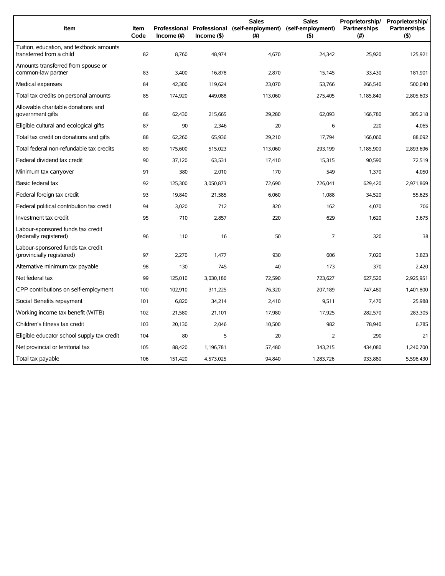| Item                                                                 | Item<br>Code | Income $(\#)$ | $Income($ \$) | <b>Sales</b><br>Professional Professional (self-employment) (self-employment)<br>(#) | <b>Sales</b><br>(5) | Proprietorship/<br>Partnerships<br>(# ) | Proprietorship/<br><b>Partnerships</b><br>(5) |
|----------------------------------------------------------------------|--------------|---------------|---------------|--------------------------------------------------------------------------------------|---------------------|-----------------------------------------|-----------------------------------------------|
| Tuition, education, and textbook amounts<br>transferred from a child | 82           | 8,760         | 48,974        | 4,670                                                                                | 24,342              | 25,920                                  | 125,921                                       |
| Amounts transferred from spouse or<br>common-law partner             | 83           | 3,400         | 16,878        | 2,870                                                                                | 15,145              | 33,430                                  | 181,901                                       |
| Medical expenses                                                     | 84           | 42,300        | 119,624       | 23,070                                                                               | 53,766              | 266,540                                 | 500,040                                       |
| Total tax credits on personal amounts                                | 85           | 174,920       | 449,088       | 113,060                                                                              | 275,405             | 1,185,840                               | 2,805,603                                     |
| Allowable charitable donations and<br>government gifts               | 86           | 62,430        | 215,665       | 29,280                                                                               | 62,093              | 166,780                                 | 305,218                                       |
| Eligible cultural and ecological gifts                               | 87           | 90            | 2,346         | 20                                                                                   | 6                   | 220                                     | 4,065                                         |
| Total tax credit on donations and gifts                              | 88           | 62,260        | 65,936        | 29,210                                                                               | 17.794              | 166,060                                 | 88,092                                        |
| Total federal non-refundable tax credits                             | 89           | 175,600       | 515,023       | 113,060                                                                              | 293,199             | 1,185,900                               | 2,893,696                                     |
| Federal dividend tax credit                                          | 90           | 37,120        | 63,531        | 17,410                                                                               | 15,315              | 90,590                                  | 72,519                                        |
| Minimum tax carryover                                                | 91           | 380           | 2,010         | 170                                                                                  | 549                 | 1,370                                   | 4,050                                         |
| Basic federal tax                                                    | 92           | 125,300       | 3,050,873     | 72,690                                                                               | 726,041             | 629,420                                 | 2,971,869                                     |
| Federal foreign tax credit                                           | 93           | 19,840        | 21,585        | 6,060                                                                                | 1,088               | 34,520                                  | 55,625                                        |
| Federal political contribution tax credit                            | 94           | 3,020         | 712           | 820                                                                                  | 162                 | 4,070                                   | 706                                           |
| Investment tax credit                                                | 95           | 710           | 2.857         | 220                                                                                  | 629                 | 1.620                                   | 3,675                                         |
| Labour-sponsored funds tax credit<br>(federally registered)          | 96           | 110           | 16            | 50                                                                                   | $\overline{7}$      | 320                                     | 38                                            |
| Labour-sponsored funds tax credit<br>(provincially registered)       | 97           | 2,270         | 1,477         | 930                                                                                  | 606                 | 7,020                                   | 3,823                                         |
| Alternative minimum tax payable                                      | 98           | 130           | 745           | 40                                                                                   | 173                 | 370                                     | 2,420                                         |
| Net federal tax                                                      | 99           | 125,010       | 3,030,186     | 72,590                                                                               | 723,627             | 627.520                                 | 2,925,951                                     |
| CPP contributions on self-employment                                 | 100          | 102,910       | 311,225       | 76,320                                                                               | 207,189             | 747,480                                 | 1,401,800                                     |
| Social Benefits repayment                                            | 101          | 6,820         | 34,214        | 2,410                                                                                | 9,511               | 7,470                                   | 25,988                                        |
| Working income tax benefit (WITB)                                    | 102          | 21,580        | 21,101        | 17,980                                                                               | 17,925              | 282,570                                 | 283,305                                       |
| Children's fitness tax credit                                        | 103          | 20,130        | 2,046         | 10,500                                                                               | 982                 | 78,940                                  | 6,785                                         |
| Eligible educator school supply tax credit                           | 104          | 80            | 5             | 20                                                                                   | 2                   | 290                                     | 21                                            |
| Net provincial or territorial tax                                    | 105          | 88,420        | 1,196,781     | 57,480                                                                               | 343,215             | 434,080                                 | 1,240,700                                     |
| Total tax payable                                                    | 106          | 151,420       | 4,573,025     | 94,840                                                                               | 1,283,726           | 933.880                                 | 5,596,430                                     |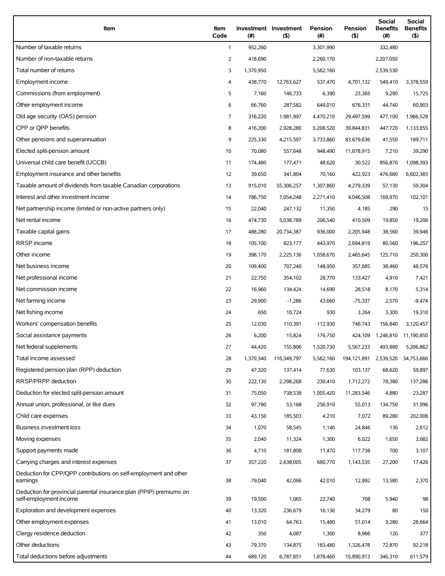| Item                                                                                          | Item<br>Code | (#)       | Investment Investment<br>(5) | Pension<br>(#) | Pension<br>(5) | Social<br><b>Benefits</b><br>$(\#)$ | Social<br><b>Benefits</b><br>(5) |
|-----------------------------------------------------------------------------------------------|--------------|-----------|------------------------------|----------------|----------------|-------------------------------------|----------------------------------|
| Number of taxable returns                                                                     | $\mathbf{1}$ | 952,260   |                              | 3,301,990      |                | 332,480                             |                                  |
| Number of non-taxable returns                                                                 | 2            | 418,690   |                              | 2,260,170      |                | 2,207,050                           |                                  |
| Total number of returns                                                                       | 3            | 1,370,950 |                              | 5,562,160      |                | 2,539,530                           |                                  |
| Employment income                                                                             | 4            | 438,770   | 12,763,627                   | 537,470        | 4,701,132      | 549,410                             | 3,378,559                        |
| Commissions (from employment)                                                                 | 5            | 7,160     | 146,733                      | 6,390          | 23,365         | 9,290                               | 15,725                           |
| Other employment income                                                                       | 6            | 66,760    | 287,582                      | 649,010        | 676,331        | 44,740                              | 60,903                           |
| Old age security (OAS) pension                                                                | 7            | 316,220   | 1,981,997                    | 4,470,210      | 29,497,599     | 477,100                             | 1,966,529                        |
| CPP or QPP benefits                                                                           | 8            | 416,200   | 2,928,280                    | 5,208,520      | 39,844,831     | 447,720                             | 1,133,655                        |
| Other pensions and superannuation                                                             | 9            | 225,330   | 4,215,597                    | 3,733,860      | 83,679,636     | 41,550                              | 189,711                          |
| Elected split-pension amount                                                                  | 10           | 70,080    | 557,648                      | 948,490        | 11,878,915     | 7,210                               | 39,290                           |
| Universal child care benefit (UCCB)                                                           | 11           | 174,480   | 177,471                      | 48,620         | 30,522         | 856,870                             | 1,098,393                        |
| Employment insurance and other benefits                                                       | 12           | 39,650    | 341,804                      | 70,160         | 422,923        | 476,680                             | 6,602,383                        |
| Taxable amount of dividends from taxable Canadian corporations                                | 13           | 915,010   | 55,306,257                   | 1,307,860      | 4,279,339      | 57,130                              | 59,304                           |
| Interest and other investment income                                                          | 14           | 786,750   | 7,054,248                    | 2,271,410      | 4,046,508      | 169,970                             | 102,101                          |
| Net partnership income (limited or non-active partners only)                                  | 15           | 22,040    | 247,132                      | 11,350         | 4,185          | 290                                 | 15                               |
| Net rental income                                                                             | 16           | 474,730   | 5,038,789                    | 206,540        | 410,509        | 19,850                              | 19,206                           |
| Taxable capital gains                                                                         | 17           | 488,280   | 20,734,387                   | 936,000        | 2,205,948      | 38,560                              | 39,946                           |
| <b>RRSP</b> income                                                                            | 18           | 105,100   | 823,177                      | 443,970        | 2,694,819      | 80,560                              | 196,257                          |
| Other income                                                                                  | 19           | 398,170   | 2,225,136                    | 1,058,670      | 2,465,645      | 125,710                             | 250,300                          |
| Net business income                                                                           | 20           | 109,400   | 707,240                      | 148,950        | 357,685        | 38,460                              | 48,576                           |
| Net professional income                                                                       | 21           | 22,750    | 354,102                      | 28,770         | 133,427        | 4,910                               | 7,421                            |
| Net commission income                                                                         | 22           | 16,960    | 134,424                      | 14,690         | 28,518         | 8,170                               | 5,314                            |
| Net farming income                                                                            | 23           | 29,900    | $-1,286$                     | 43,660         | $-75,337$      | 2,570                               | $-9,474$                         |
| Net fishing income                                                                            | 24           | 650       | 10,724                       | 930            | 3,264          | 3,300                               | 19,310                           |
| Workers' compensation benefits                                                                | 25           | 12,030    | 110,391                      | 112,930        | 746,743        | 156,840                             | 3,120,457                        |
| Social assistance payments                                                                    | 26           | 6,200     | 15,824                       | 176,750        |                | 424,109 1,246,810 11,190,850        |                                  |
| Net federal supplements                                                                       | 27           | 44,420    | 155,806                      | 1,520,730      | 5,567,233      | 493,880                             | 5,206,862                        |
| Total income assessed                                                                         | 28           | 1,370,340 | 116,349,797                  | 5,562,160      | 194,121,891    | 2,539,520                           | 34,753,666                       |
| Registered pension plan (RPP) deduction                                                       | 29           | 47,320    | 137,414                      | 77,630         | 103,137        | 68,620                              | 59,897                           |
| RRSP/PRPP deduction                                                                           | 30           | 222,130   | 2,298,268                    | 230,410        | 1,712,272      | 78,380                              | 137,286                          |
| Deduction for elected split-pension amount                                                    | 31           | 75,050    | 738,538                      | 1,005,420      | 11,283,546     | 4,880                               | 23,287                           |
| Annual union, professional, or like dues                                                      | 32           | 97,780    | 53,168                       | 256,910        | 55,013         | 134,750                             | 31,996                           |
| Child care expenses                                                                           | 33           | 43,150    | 185,503                      | 4,210          | 7,072          | 89,280                              | 202,006                          |
| Business investment loss                                                                      | 34           | 1,070     | 58,545                       | 1,140          | 24,846         | 130                                 | 2,612                            |
| Moving expenses                                                                               | 35           | 2,040     | 11,324                       | 1,300          | 6,022          | 1,650                               | 3,682                            |
| Support payments made                                                                         | 36           | 4,710     | 181,808                      | 11,470         | 117,738        | 700                                 | 3,107                            |
| Carrying charges and interest expenses                                                        | 37           | 357,220   | 2,638,005                    | 680,770        | 1,143,535      | 27,200                              | 17,426                           |
| Deduction for CPP/QPP contributions on self-employment and other<br>earnings                  | 38           | 79,040    | 42,066                       | 42,010         | 12,992         | 13,580                              | 2,370                            |
| Deduction for provincial parental insurance plan (PPIP) premiums on<br>self-employment income | 39           | 19,500    | 1,065                        | 22,740         | 708            | 5,940                               | 98                               |
| Exploration and development expenses                                                          | 40           | 13,320    | 236,679                      | 10,130         | 34,279         | 80                                  | 150                              |
| Other employment expenses                                                                     | 41           | 13,010    | 64,763                       | 15,480         | 51,014         | 9,280                               | 28,664                           |
| Clergy residence deduction                                                                    | 42           | 350       | 4,087                        | 1,300          | 8,966          | 120                                 | 377                              |
| Other deductions                                                                              | 43           | 79,370    | 134,875                      | 183,480        | 1,326,478      | 72,870                              | 92,218                           |
| Total deductions before adjustments                                                           | 44           | 689,120   | 6,787,851                    | 1,878,460      | 15,890,913     | 346,310                             | 611,579                          |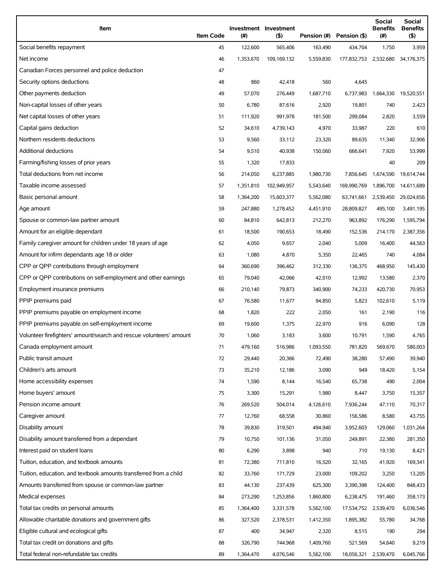| Item                                                                | <b>Item Code</b> | $(\#)$    | Investment Investment<br>(5) | Pension (#) | Pension (\$)                     | <b>Social</b><br><b>Benefits</b><br>$(\#)$ | Social<br><b>Benefits</b><br>(5) |
|---------------------------------------------------------------------|------------------|-----------|------------------------------|-------------|----------------------------------|--------------------------------------------|----------------------------------|
| Social benefits repayment                                           | 45               | 122,600   | 565,406                      | 163,490     | 434,704                          | 1,750                                      | 3,959                            |
| Net income                                                          | 46               | 1,353,670 | 109,169,132                  | 5,559,830   | 177,832,753 2,532,680 34,176,375 |                                            |                                  |
| Canadian Forces personnel and police deduction                      | 47               |           |                              |             |                                  |                                            |                                  |
| Security options deductions                                         | 48               | 860       | 42,418                       | 560         | 4,645                            |                                            |                                  |
| Other payments deduction                                            | 49               | 57,070    | 276,449                      | 1,687,710   | 6,737,983                        | 1,664,330                                  | 19,520,551                       |
| Non-capital losses of other years                                   | 50               | 6,780     | 87,616                       | 2,920       | 19,801                           | 740                                        | 2,423                            |
| Net capital losses of other years                                   | 51               | 111,920   | 991,978                      | 181,500     | 299,084                          | 2,820                                      | 3,559                            |
| Capital gains deduction                                             | 52               | 34,610    | 4,739,143                    | 4,970       | 33,987                           | 220                                        | 610                              |
| Northern residents deductions                                       | 53               | 9,560     | 33,112                       | 23,320      | 89,635                           | 11,340                                     | 32,906                           |
| Additional deductions                                               | 54               | 9,510     | 40,938                       | 150,060     | 666,641                          | 7,920                                      | 53,999                           |
| Farming/fishing losses of prior years                               | 55               | 1,320     | 17,833                       |             |                                  | 40                                         | 209                              |
| Total deductions from net income                                    | 56               | 214,050   | 6,237,885                    | 1,980,730   | 7,856,645                        | 1,674,590                                  | 19,614,744                       |
| Taxable income assessed                                             | 57               | 1,351,810 | 102,949,957                  | 5,543,640   | 169,990,769                      | 1,896,700                                  | 14,611,689                       |
| Basic personal amount                                               | 58               | 1,364,200 | 15,603,377                   | 5,562,080   | 63,741,661                       | 2,539,450                                  | 29,024,656                       |
| Age amount                                                          | 59               | 247,880   | 1,278,452                    | 4,451,910   | 28,809,827                       | 495,100                                    | 3,491,195                        |
| Spouse or common-law partner amount                                 | 60               | 84,810    | 642,813                      | 212,270     | 963,892                          | 176,290                                    | 1,595,794                        |
| Amount for an eligible dependant                                    | 61               | 18,500    | 190,653                      | 18,490      | 152,536                          | 214,170                                    | 2,387,356                        |
| Family caregiver amount for children under 18 years of age          | 62               | 4,050     | 9,657                        | 2,040       | 5,009                            | 16,400                                     | 44,563                           |
| Amount for infirm dependants age 18 or older                        | 63               | 1,080     | 4,870                        | 5,350       | 22,465                           | 740                                        | 4,084                            |
| CPP or QPP contributions through employment                         | 64               | 360,690   | 396,462                      | 312,330     | 136,375                          | 468,950                                    | 145,430                          |
| CPP or QPP contributions on self-employment and other earnings      | 65               | 79,040    | 42,066                       | 42,010      | 12,992                           | 13,580                                     | 2,370                            |
| Employment insurance premiums                                       | 66               | 210,140   | 79,873                       | 340,900     | 74,233                           | 420,730                                    | 70,953                           |
| PPIP premiums paid                                                  | 67               | 76,580    | 11,677                       | 94,850      | 5,823                            | 102,610                                    | 5,119                            |
| PPIP premiums payable on employment income                          | 68               | 1,820     | 222                          | 2,050       | 161                              | 2,190                                      | 116                              |
| PPIP premiums payable on self-employment income                     | 69               | 19,600    | 1,375                        | 22,970      | 916                              | 6,090                                      | 128                              |
| Volunteer firefighters' amount/search and rescue volunteers' amount | 70               | 1,060     | 3,183                        | 3,600       | 10,791                           | 1,590                                      | 4,765                            |
| Canada employment amount                                            | 71               | 479,160   | 516,986                      | 1,093,550   | 781,820                          | 569,670                                    | 580,003                          |
| Public transit amount                                               | 72               | 29,440    | 20,366                       | 72,490      | 38,280                           | 57,490                                     | 39,940                           |
| Children's arts amount                                              | 73               | 35,210    | 12,186                       | 3,090       | 949                              | 18,420                                     | 5,154                            |
| Home accessibility expenses                                         | 74               | 1,590     | 8,144                        | 16,540      | 65,738                           | 490                                        | 2,004                            |
| Home buyers' amount                                                 | 75               | 3,300     | 15,291                       | 1,980       | 8,447                            | 3,750                                      | 15,357                           |
| Pension income amount                                               | 76               | 269,520   | 504,014                      | 4,126,610   | 7,936,244                        | 47,110                                     | 70,317                           |
| Caregiver amount                                                    | 77               | 12,760    | 68,558                       | 30,860      | 156,586                          | 8,580                                      | 43,755                           |
| Disability amount                                                   | 78               | 39,830    | 319,501                      | 494,940     | 3,952,603                        | 129,060                                    | 1,031,264                        |
| Disability amount transferred from a dependant                      | 79               | 10,750    | 101,136                      | 31,050      | 249,891                          | 22,380                                     | 281,350                          |
| Interest paid on student loans                                      | 80               | 6,290     | 3,898                        | 940         | 710                              | 19,130                                     | 8,421                            |
| Tuition, education, and textbook amounts                            | 81               | 72,380    | 711,810                      | 16,520      | 32,165                           | 41,920                                     | 169,341                          |
| Tuition, education, and textbook amounts transferred from a child   | 82               | 33,760    | 171,729                      | 23,000      | 109,202                          | 3,250                                      | 13,205                           |
| Amounts transferred from spouse or common-law partner               | 83               | 44,130    | 237,439                      | 625,300     | 3,390,398                        | 124,400                                    | 848,433                          |
| Medical expenses                                                    | 84               | 273,290   | 1,253,856                    | 1,860,800   | 6,238,475                        | 191,460                                    | 358,173                          |
| Total tax credits on personal amounts                               | 85               | 1,364,400 | 3,331,578                    | 5,562,100   | 17,534,752                       | 2,539,470                                  | 6,036,546                        |
| Allowable charitable donations and government gifts                 | 86               | 327,520   | 2,378,531                    | 1,412,350   | 1,895,382                        | 55,780                                     | 34,768                           |
| Eligible cultural and ecological gifts                              | 87               | 400       | 34,947                       | 2,320       | 8,515                            | 190                                        | 294                              |
| Total tax credit on donations and gifts                             | 88               | 326,790   | 744,968                      | 1,409,760   | 521,569                          | 54,640                                     | 9,219                            |
| Total federal non-refundable tax credits                            | 89               | 1,364,470 | 4,076,546                    | 5,562,100   | 18,056,321                       | 2,539,470                                  | 6,045,766                        |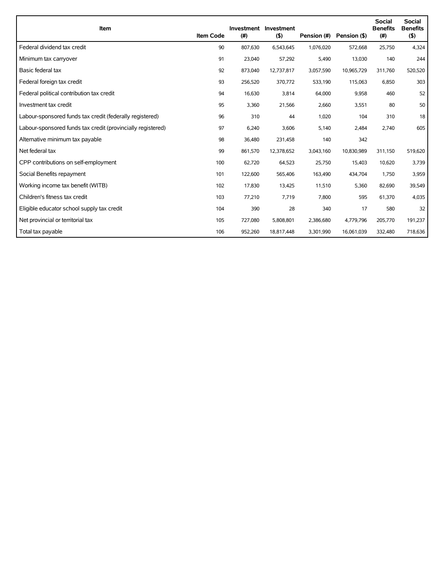| Item                                                        | <b>Item Code</b> | (#)     | Investment Investment<br>(5) | Pension (#) | Pension (\$) | <b>Social</b><br><b>Benefits</b><br>(#) | <b>Social</b><br><b>Benefits</b><br>(5) |
|-------------------------------------------------------------|------------------|---------|------------------------------|-------------|--------------|-----------------------------------------|-----------------------------------------|
| Federal dividend tax credit                                 | 90               | 807,630 | 6,543,645                    | 1,076,020   | 572,668      | 25,750                                  | 4,324                                   |
| Minimum tax carryover                                       | 91               | 23,040  | 57,292                       | 5,490       | 13,030       | 140                                     | 244                                     |
| Basic federal tax                                           | 92               | 873,040 | 12,737,817                   | 3,057,590   | 10,965,729   | 311,760                                 | 520,520                                 |
| Federal foreign tax credit                                  | 93               | 256,520 | 370,772                      | 533,190     | 115,063      | 6,850                                   | 303                                     |
| Federal political contribution tax credit                   | 94               | 16,630  | 3,814                        | 64,000      | 9,958        | 460                                     | 52                                      |
| Investment tax credit                                       | 95               | 3,360   | 21,566                       | 2,660       | 3,551        | 80                                      | 50                                      |
| Labour-sponsored funds tax credit (federally registered)    | 96               | 310     | 44                           | 1,020       | 104          | 310                                     | 18                                      |
| Labour-sponsored funds tax credit (provincially registered) | 97               | 6,240   | 3,606                        | 5,140       | 2,484        | 2,740                                   | 605                                     |
| Alternative minimum tax payable                             | 98               | 36,480  | 231,458                      | 140         | 342          |                                         |                                         |
| Net federal tax                                             | 99               | 861,570 | 12,378,652                   | 3,043,160   | 10,830,989   | 311,150                                 | 519,620                                 |
| CPP contributions on self-employment                        | 100              | 62,720  | 64,523                       | 25,750      | 15,403       | 10,620                                  | 3,739                                   |
| Social Benefits repayment                                   | 101              | 122,600 | 565,406                      | 163,490     | 434,704      | 1,750                                   | 3,959                                   |
| Working income tax benefit (WITB)                           | 102              | 17,830  | 13,425                       | 11,510      | 5,360        | 82,690                                  | 39,549                                  |
| Children's fitness tax credit                               | 103              | 77,210  | 7,719                        | 7.800       | 595          | 61,370                                  | 4,035                                   |
| Eligible educator school supply tax credit                  | 104              | 390     | 28                           | 340         | 17           | 580                                     | 32                                      |
| Net provincial or territorial tax                           | 105              | 727,080 | 5,808,801                    | 2,386,680   | 4,779,796    | 205,770                                 | 191,237                                 |
| Total tax payable                                           | 106              | 952,260 | 18,817,448                   | 3,301,990   | 16,061,039   | 332,480                                 | 718,636                                 |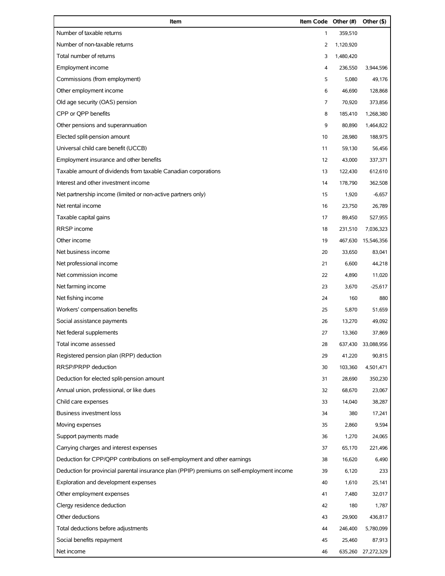| Item                                                                                       | <b>Item Code Other (#)</b> |           | Other (\$)         |
|--------------------------------------------------------------------------------------------|----------------------------|-----------|--------------------|
| Number of taxable returns                                                                  | $\mathbf{1}$               | 359,510   |                    |
| Number of non-taxable returns                                                              | 2                          | 1,120,920 |                    |
| Total number of returns                                                                    | 3                          | 1,480,420 |                    |
| Employment income                                                                          | 4                          | 236,550   | 3,944,596          |
| Commissions (from employment)                                                              | 5                          | 5,080     | 49,176             |
| Other employment income                                                                    | 6                          | 46,690    | 128,868            |
| Old age security (OAS) pension                                                             | 7                          | 70,920    | 373,856            |
| CPP or QPP benefits                                                                        | 8                          | 185,410   | 1,268,380          |
| Other pensions and superannuation                                                          | 9                          | 80,890    | 1,464,822          |
| Elected split-pension amount                                                               | 10                         | 28,980    | 188,975            |
| Universal child care benefit (UCCB)                                                        | 11                         | 59,130    | 56,456             |
| Employment insurance and other benefits                                                    | 12                         | 43,000    | 337,371            |
| Taxable amount of dividends from taxable Canadian corporations                             | 13                         | 122,430   | 612,610            |
| Interest and other investment income                                                       | 14                         | 178,790   | 362,508            |
| Net partnership income (limited or non-active partners only)                               | 15                         | 1,920     | $-6,657$           |
| Net rental income                                                                          | 16                         | 23,750    | 26,789             |
| Taxable capital gains                                                                      | 17                         | 89,450    | 527,955            |
| RRSP income                                                                                | 18                         | 231,510   | 7,036,323          |
| Other income                                                                               | 19                         | 467,630   | 15,546,356         |
| Net business income                                                                        | 20                         | 33,650    | 83,041             |
| Net professional income                                                                    | 21                         | 6,600     | 44,218             |
| Net commission income                                                                      | 22                         | 4,890     | 11,020             |
| Net farming income                                                                         | 23                         | 3,670     | $-25,617$          |
| Net fishing income                                                                         | 24                         | 160       | 880                |
| Workers' compensation benefits                                                             | 25                         | 5,870     | 51,659             |
| Social assistance payments                                                                 | 26                         | 13,270    | 49,092             |
| Net federal supplements                                                                    | 27                         | 13,360    | 37,869             |
| Total income assessed                                                                      | 28                         | 637,430   | 33,088,956         |
| Registered pension plan (RPP) deduction                                                    | 29                         | 41,220    | 90,815             |
| RRSP/PRPP deduction                                                                        | 30                         | 103,360   | 4,501,471          |
| Deduction for elected split-pension amount                                                 | 31                         | 28,690    | 350,230            |
| Annual union, professional, or like dues                                                   | 32                         | 68,670    | 23,067             |
| Child care expenses                                                                        | 33                         | 14,040    | 38,287             |
| <b>Business investment loss</b>                                                            | 34                         | 380       | 17,241             |
| Moving expenses                                                                            | 35                         | 2,860     | 9,594              |
| Support payments made                                                                      | 36                         | 1,270     | 24,065             |
| Carrying charges and interest expenses                                                     | 37                         | 65,170    | 221,496            |
| Deduction for CPP/QPP contributions on self-employment and other earnings                  | 38                         | 16,620    | 6,490              |
| Deduction for provincial parental insurance plan (PPIP) premiums on self-employment income | 39                         | 6,120     | 233                |
| Exploration and development expenses                                                       | 40                         | 1,610     | 25,141             |
| Other employment expenses                                                                  | 41                         | 7,480     | 32,017             |
| Clergy residence deduction                                                                 | 42                         | 180       | 1,787              |
| Other deductions                                                                           | 43                         | 29,900    | 436,817            |
| Total deductions before adjustments                                                        | 44                         | 246,400   | 5,780,099          |
| Social benefits repayment                                                                  | 45                         | 25,460    | 87,913             |
| Net income                                                                                 | 46                         |           | 635,260 27,272,329 |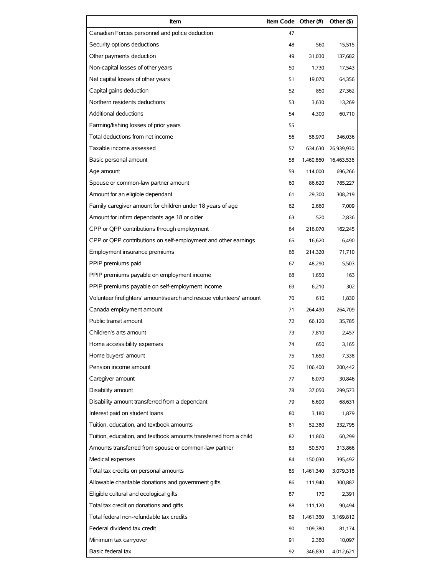| Item                                                                | Item Code Other (#) |           | Other (\$) |
|---------------------------------------------------------------------|---------------------|-----------|------------|
| Canadian Forces personnel and police deduction                      | 47                  |           |            |
| Security options deductions                                         | 48                  | 560       | 15,515     |
| Other payments deduction                                            | 49                  | 31,030    | 137,682    |
| Non-capital losses of other years                                   | 50                  | 1,730     | 17,543     |
| Net capital losses of other years                                   | 51                  | 19,070    | 64,356     |
| Capital gains deduction                                             | 52                  | 850       | 27.362     |
| Northern residents deductions                                       | 53                  | 3,630     | 13,269     |
| <b>Additional deductions</b>                                        | 54                  | 4,300     | 60,710     |
| Farming/fishing losses of prior years                               | 55                  |           |            |
| Total deductions from net income                                    | 56                  | 58,970    | 346,036    |
| Taxable income assessed                                             | 57                  | 634,630   | 26,939,930 |
| Basic personal amount                                               | 58                  | 1,460,860 | 16,463,536 |
| Age amount                                                          | 59                  | 114,000   | 696,266    |
| Spouse or common-law partner amount                                 | 60                  | 86,620    | 785,227    |
| Amount for an eligible dependant                                    | 61                  | 29,300    | 308.219    |
| Family caregiver amount for children under 18 years of age          | 62                  | 2,660     | 7.009      |
| Amount for infirm dependants age 18 or older                        | 63                  | 520       | 2,836      |
| CPP or QPP contributions through employment                         | 64                  | 216,070   | 162,245    |
| CPP or QPP contributions on self-employment and other earnings      | 65                  | 16,620    | 6,490      |
| Employment insurance premiums                                       | 66                  | 214,320   | 71,710     |
| PPIP premiums paid                                                  | 67                  | 48,290    | 5,503      |
| PPIP premiums payable on employment income                          | 68                  | 1,650     | 163        |
| PPIP premiums payable on self-employment income                     | 69                  | 6,210     | 302        |
| Volunteer firefighters' amount/search and rescue volunteers' amount | 70                  | 610       | 1,830      |
| Canada employment amount                                            | 71                  | 264,490   | 264,709    |
| Public transit amount                                               | 72                  | 66,120    | 35,785     |
| Children's arts amount                                              | 73                  | 7,810     | 2,457      |
| Home accessibility expenses                                         | 74                  | 650       | 3,165      |
| Home buyers' amount                                                 | 75                  | 1.650     | 7,338      |
| Pension income amount                                               | 76                  | 106,400   | 200,442    |
| Caregiver amount                                                    | 77                  | 6,070     | 30,846     |
| Disability amount                                                   | 78                  | 37,050    | 299,573    |
| Disability amount transferred from a dependant                      | 79                  | 6,690     | 68,631     |
| Interest paid on student loans                                      | 80                  | 3,180     | 1,879      |
| Tuition, education, and textbook amounts                            | 81                  | 52,380    | 332,795    |
| Tuition, education, and textbook amounts transferred from a child   | 82                  | 11,860    | 60,299     |
| Amounts transferred from spouse or common-law partner               | 83                  | 50,570    | 313,866    |
| Medical expenses                                                    | 84                  | 150,030   | 395,492    |
| Total tax credits on personal amounts                               | 85                  | 1,461,340 | 3,079,318  |
| Allowable charitable donations and government gifts                 | 86                  | 111,940   | 300,887    |
| Eligible cultural and ecological gifts                              | 87                  | 170       | 2,391      |
| Total tax credit on donations and gifts                             | 88                  | 111,120   | 90,494     |
| Total federal non-refundable tax credits                            | 89                  | 1,461,360 | 3,169,812  |
| Federal dividend tax credit                                         | 90                  | 109,380   | 81,174     |
| Minimum tax carryover                                               | 91                  | 2,380     | 10,097     |
| Basic federal tax                                                   | 92                  | 346,830   | 4,012,621  |